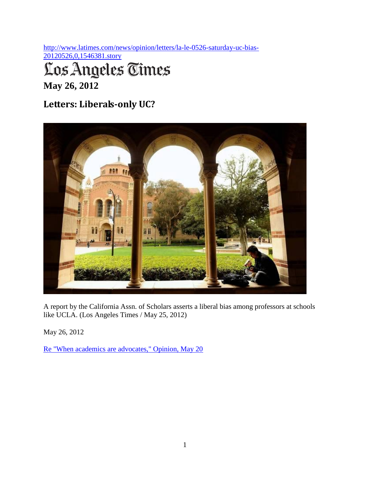[http://www.latimes.com/news/opinion/letters/la-le-0526-saturday-uc-bias-](http://www.latimes.com/news/opinion/letters/la-le-0526-saturday-uc-bias-20120526,0,1546381.story)

[20120526,0,1546381.story](http://www.latimes.com/news/opinion/letters/la-le-0526-saturday-uc-bias-20120526,0,1546381.story)

## Los Angeles Times

**May 26, 2012**

## **Letters: Liberals-only UC?**



A report by the California Assn. of Scholars asserts a liberal bias among professors at schools like UCLA. (Los Angeles Times / May 25, 2012)

May 26, 2012

[Re "When academics are advocates," Opinion, May 20](http://www.latimes.com/news/opinion/commentary/la-oe-ellis-uc-bias-20120520%2C0%2C6773276.story)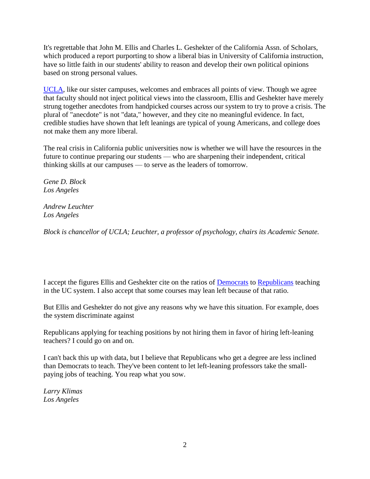It's regrettable that John M. Ellis and Charles L. Geshekter of the California Assn. of Scholars, which produced a report purporting to show a liberal bias in University of California instruction, have so little faith in our students' ability to reason and develop their own political opinions based on strong personal values.

[UCLA,](http://www.latimes.com/topic/education/colleges-universities/university-of-california-los-angeles-OREDU0000192268.topic) like our sister campuses, welcomes and embraces all points of view. Though we agree that faculty should not inject political views into the classroom, Ellis and Geshekter have merely strung together anecdotes from handpicked courses across our system to try to prove a crisis. The plural of "anecdote" is not "data," however, and they cite no meaningful evidence. In fact, credible studies have shown that left leanings are typical of young Americans, and college does not make them any more liberal.

The real crisis in California public universities now is whether we will have the resources in the future to continue preparing our students — who are sharpening their independent, critical thinking skills at our campuses — to serve as the leaders of tomorrow.

*Gene D. Block Los Angeles*

*Andrew Leuchter Los Angeles*

*Block is chancellor of UCLA; Leuchter, a professor of psychology, chairs its Academic Senate.*

I accept the figures Ellis and Geshekter cite on the ratios of [Democrats](http://www.latimes.com/topic/politics/parties-movements/democratic-party-ORGOV0000005.topic) to [Republicans](http://www.latimes.com/topic/politics/parties-movements/republican-party-ORGOV0000004.topic) teaching in the UC system. I also accept that some courses may lean left because of that ratio.

But Ellis and Geshekter do not give any reasons why we have this situation. For example, does the system discriminate against

Republicans applying for teaching positions by not hiring them in favor of hiring left-leaning teachers? I could go on and on.

I can't back this up with data, but I believe that Republicans who get a degree are less inclined than Democrats to teach. They've been content to let left-leaning professors take the smallpaying jobs of teaching. You reap what you sow.

*Larry Klimas Los Angeles*